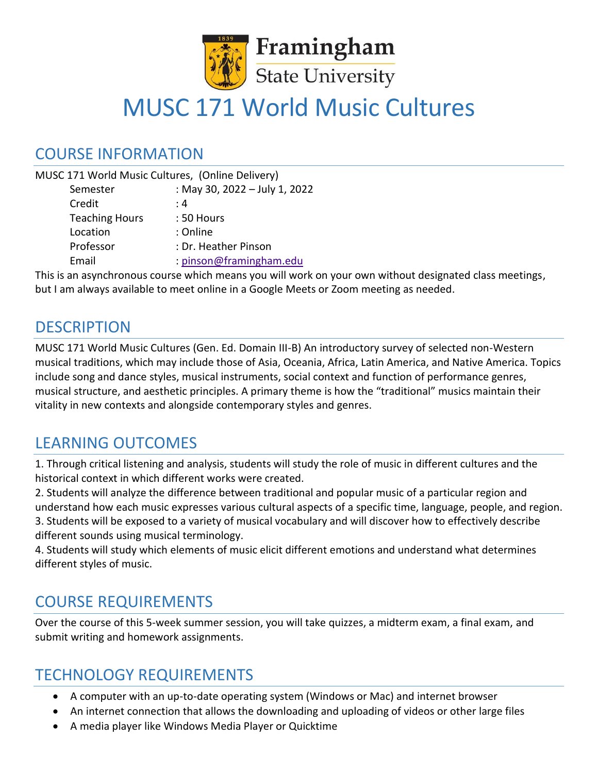

# MUSC 171 World Music Cultures

### COURSE INFORMATION

| MUSC 171 World Music Cultures, (Online Delivery) |                               |  |  |
|--------------------------------------------------|-------------------------------|--|--|
| Semester                                         | : May 30, 2022 - July 1, 2022 |  |  |
| Credit                                           | : 4                           |  |  |
| <b>Teaching Hours</b>                            | : 50 Hours                    |  |  |
| Location                                         | : Online                      |  |  |
| Professor                                        | : Dr. Heather Pinson          |  |  |
| Email                                            | : pinson@framingham.edu       |  |  |
|                                                  |                               |  |  |

This is an asynchronous course which means you will work on your own without designated class meetings, but I am always available to meet online in a Google Meets or Zoom meeting as needed.

# **DESCRIPTION**

MUSC 171 World Music Cultures (Gen. Ed. Domain III-B) An introductory survey of selected non-Western musical traditions, which may include those of Asia, Oceania, Africa, Latin America, and Native America. Topics include song and dance styles, musical instruments, social context and function of performance genres, musical structure, and aesthetic principles. A primary theme is how the "traditional" musics maintain their vitality in new contexts and alongside contemporary styles and genres.

# LEARNING OUTCOMES

1. Through critical listening and analysis, students will study the role of music in different cultures and the historical context in which different works were created.

2. Students will analyze the difference between traditional and popular music of a particular region and understand how each music expresses various cultural aspects of a specific time, language, people, and region. 3. Students will be exposed to a variety of musical vocabulary and will discover how to effectively describe different sounds using musical terminology.

4. Students will study which elements of music elicit different emotions and understand what determines different styles of music.

# COURSE REQUIREMENTS

Over the course of this 5-week summer session, you will take quizzes, a midterm exam, a final exam, and submit writing and homework assignments.

### TECHNOLOGY REQUIREMENTS

- A computer with an up-to-date operating system (Windows or Mac) and internet browser
- An internet connection that allows the downloading and uploading of videos or other large files
- A media player like Windows Media Player or Quicktime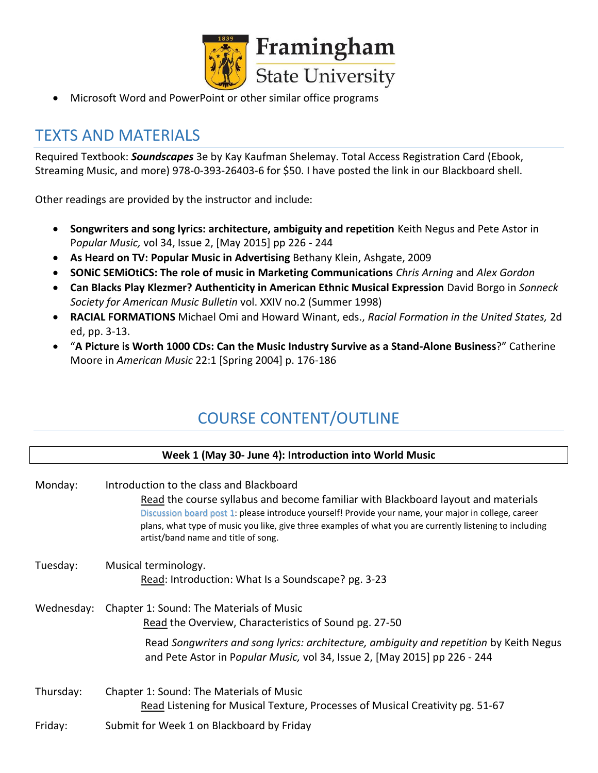

• Microsoft Word and PowerPoint or other similar office programs

# TEXTS AND MATERIALS

Required Textbook: *Soundscapes* 3e by Kay Kaufman Shelemay. Total Access Registration Card (Ebook, Streaming Music, and more) 978-0-393-26403-6 for \$50. I have posted the link in our Blackboard shell.

Other readings are provided by the instructor and include:

- **Songwriters and song lyrics: architecture, ambiguity and repetition** Keith Negus and Pete Astor in P*opular Music,* vol 34, Issue 2, [May 2015] pp 226 - 244
- **As Heard on TV: Popular Music in Advertising** Bethany Klein, Ashgate, 2009
- **SONiC SEMiOtiCS: The role of music in Marketing Communications** *Chris Arning* and *Alex Gordon*
- **Can Blacks Play Klezmer? Authenticity in American Ethnic Musical Expression** David Borgo in *Sonneck Society for American Music Bulletin* vol. XXIV no.2 (Summer 1998)
- **RACIAL FORMATIONS** Michael Omi and Howard Winant, eds., *Racial Formation in the United States,* 2d ed, pp. 3-13.
- "**A Picture is Worth 1000 CDs: Can the Music Industry Survive as a Stand-Alone Business**?" Catherine Moore in *American Music* 22:1 [Spring 2004] p. 176-186

# COURSE CONTENT/OUTLINE

| Week 1 (May 30- June 4): Introduction into World Music |                                                                                                                                                                                                                                                                                                                                                                                          |  |
|--------------------------------------------------------|------------------------------------------------------------------------------------------------------------------------------------------------------------------------------------------------------------------------------------------------------------------------------------------------------------------------------------------------------------------------------------------|--|
| Monday:                                                | Introduction to the class and Blackboard<br>Read the course syllabus and become familiar with Blackboard layout and materials<br>Discussion board post 1: please introduce yourself! Provide your name, your major in college, career<br>plans, what type of music you like, give three examples of what you are currently listening to including<br>artist/band name and title of song. |  |
| Tuesday:                                               | Musical terminology.<br>Read: Introduction: What Is a Soundscape? pg. 3-23                                                                                                                                                                                                                                                                                                               |  |
| Wednesday:                                             | Chapter 1: Sound: The Materials of Music<br>Read the Overview, Characteristics of Sound pg. 27-50<br>Read Songwriters and song lyrics: architecture, ambiguity and repetition by Keith Negus                                                                                                                                                                                             |  |
| Thursday:                                              | and Pete Astor in Popular Music, vol 34, Issue 2, [May 2015] pp 226 - 244<br>Chapter 1: Sound: The Materials of Music<br>Read Listening for Musical Texture, Processes of Musical Creativity pg. 51-67                                                                                                                                                                                   |  |
| Friday:                                                | Submit for Week 1 on Blackboard by Friday                                                                                                                                                                                                                                                                                                                                                |  |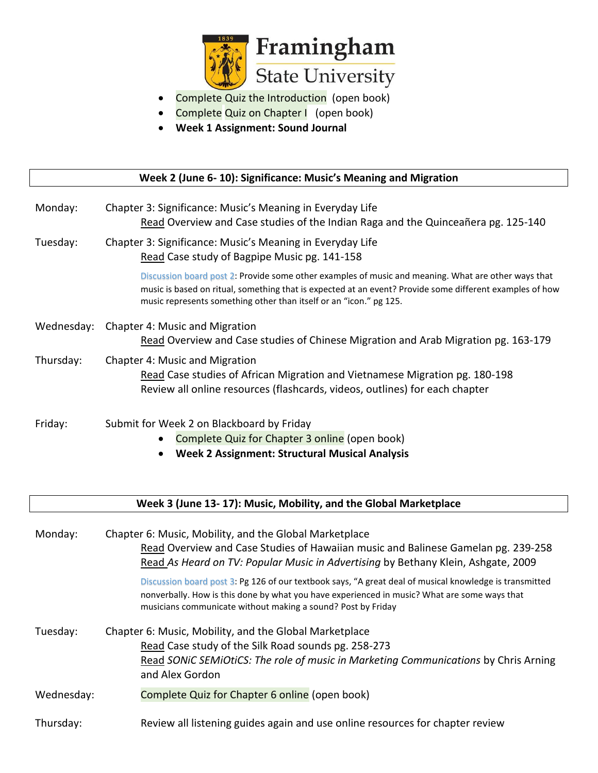

- Complete Quiz the Introduction (open book)
- Complete Quiz on Chapter I (open book)
- **Week 1 Assignment: Sound Journal**

| Week 2 (June 6-10): Significance: Music's Meaning and Migration |                                                                                                                                                                                                                                                                                       |  |
|-----------------------------------------------------------------|---------------------------------------------------------------------------------------------------------------------------------------------------------------------------------------------------------------------------------------------------------------------------------------|--|
| Monday:                                                         | Chapter 3: Significance: Music's Meaning in Everyday Life<br>Read Overview and Case studies of the Indian Raga and the Quinceañera pg. 125-140                                                                                                                                        |  |
| Tuesday:                                                        | Chapter 3: Significance: Music's Meaning in Everyday Life<br>Read Case study of Bagpipe Music pg. 141-158                                                                                                                                                                             |  |
|                                                                 | Discussion board post 2: Provide some other examples of music and meaning. What are other ways that<br>music is based on ritual, something that is expected at an event? Provide some different examples of how<br>music represents something other than itself or an "icon." pg 125. |  |
| Wednesday:                                                      | <b>Chapter 4: Music and Migration</b><br>Read Overview and Case studies of Chinese Migration and Arab Migration pg. 163-179                                                                                                                                                           |  |
| Thursday:                                                       | Chapter 4: Music and Migration<br>Read Case studies of African Migration and Vietnamese Migration pg. 180-198<br>Review all online resources (flashcards, videos, outlines) for each chapter                                                                                          |  |
| Friday:                                                         | Submit for Week 2 on Blackboard by Friday<br>Complete Quiz for Chapter 3 online (open book)<br>$\bullet$<br><b>Week 2 Assignment: Structural Musical Analysis</b>                                                                                                                     |  |

#### **Week 3 (June 13- 17): Music, Mobility, and the Global Marketplace**

| Monday:    | Chapter 6: Music, Mobility, and the Global Marketplace<br>Read Overview and Case Studies of Hawaiian music and Balinese Gamelan pg. 239-258<br>Read As Heard on TV: Popular Music in Advertising by Bethany Klein, Ashgate, 2009                                        |
|------------|-------------------------------------------------------------------------------------------------------------------------------------------------------------------------------------------------------------------------------------------------------------------------|
|            | Discussion board post 3: Pg 126 of our textbook says, "A great deal of musical knowledge is transmitted<br>nonverbally. How is this done by what you have experienced in music? What are some ways that<br>musicians communicate without making a sound? Post by Friday |
| Tuesday:   | Chapter 6: Music, Mobility, and the Global Marketplace<br>Read Case study of the Silk Road sounds pg. 258-273<br>Read SONIC SEMIOtiCS: The role of music in Marketing Communications by Chris Arning<br>and Alex Gordon                                                 |
| Wednesday: | Complete Quiz for Chapter 6 online (open book)                                                                                                                                                                                                                          |
| Thursday:  | Review all listening guides again and use online resources for chapter review                                                                                                                                                                                           |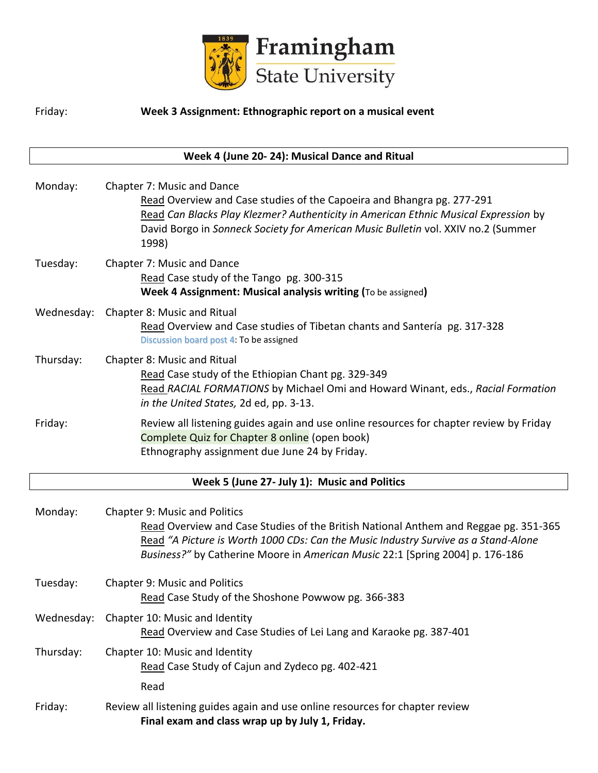

#### Friday: **Week 3 Assignment: Ethnographic report on a musical event**

#### **Week 4 (June 20- 24): Musical Dance and Ritual**

| Monday:    | Chapter 7: Music and Dance<br>Read Overview and Case studies of the Capoeira and Bhangra pg. 277-291<br>Read Can Blacks Play Klezmer? Authenticity in American Ethnic Musical Expression by<br>David Borgo in Sonneck Society for American Music Bulletin vol. XXIV no.2 (Summer<br>1998) |
|------------|-------------------------------------------------------------------------------------------------------------------------------------------------------------------------------------------------------------------------------------------------------------------------------------------|
| Tuesday:   | Chapter 7: Music and Dance<br>Read Case study of the Tango pg. 300-315<br>Week 4 Assignment: Musical analysis writing (To be assigned)                                                                                                                                                    |
| Wednesday: | Chapter 8: Music and Ritual<br>Read Overview and Case studies of Tibetan chants and Santería pg. 317-328<br>Discussion board post 4: To be assigned                                                                                                                                       |
| Thursday:  | Chapter 8: Music and Ritual<br>Read Case study of the Ethiopian Chant pg. 329-349<br>Read RACIAL FORMATIONS by Michael Omi and Howard Winant, eds., Racial Formation<br>in the United States, 2d ed, pp. 3-13.                                                                            |
| Friday:    | Review all listening guides again and use online resources for chapter review by Friday<br>Complete Quiz for Chapter 8 online (open book)<br>Ethnography assignment due June 24 by Friday.                                                                                                |

#### **Week 5 (June 27- July 1): Music and Politics**

| Monday:    | <b>Chapter 9: Music and Politics</b><br>Read Overview and Case Studies of the British National Anthem and Reggae pg. 351-365<br>Read "A Picture is Worth 1000 CDs: Can the Music Industry Survive as a Stand-Alone<br>Business?" by Catherine Moore in American Music 22:1 [Spring 2004] p. 176-186 |
|------------|-----------------------------------------------------------------------------------------------------------------------------------------------------------------------------------------------------------------------------------------------------------------------------------------------------|
| Tuesday:   | <b>Chapter 9: Music and Politics</b><br>Read Case Study of the Shoshone Powwow pg. 366-383                                                                                                                                                                                                          |
| Wednesday: | Chapter 10: Music and Identity<br>Read Overview and Case Studies of Lei Lang and Karaoke pg. 387-401                                                                                                                                                                                                |
| Thursday:  | Chapter 10: Music and Identity<br>Read Case Study of Cajun and Zydeco pg. 402-421<br>Read                                                                                                                                                                                                           |
| Friday:    | Review all listening guides again and use online resources for chapter review<br>Final exam and class wrap up by July 1, Friday.                                                                                                                                                                    |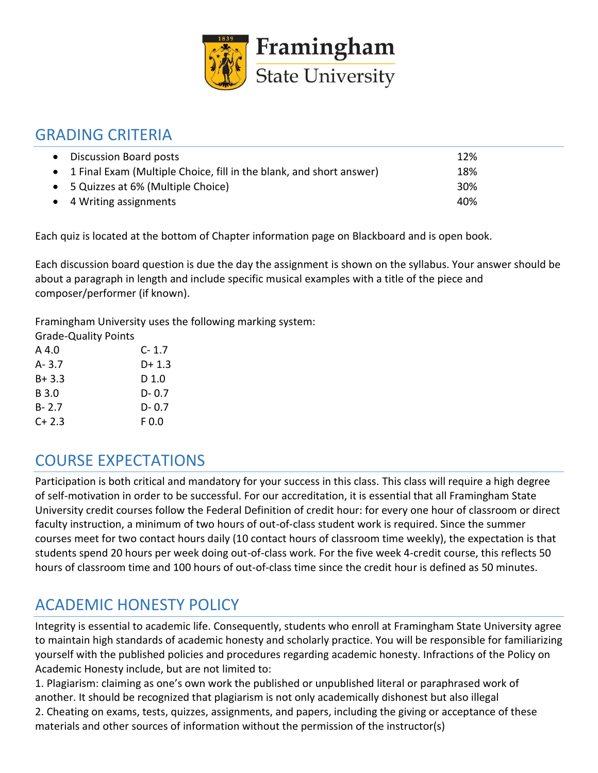

### GRADING CRITERIA

| • Discussion Board posts                                              | 12% |
|-----------------------------------------------------------------------|-----|
| • 1 Final Exam (Multiple Choice, fill in the blank, and short answer) | 18% |
| • 5 Quizzes at 6% (Multiple Choice)                                   | 30% |
| • 4 Writing assignments                                               | 40% |

Each quiz is located at the bottom of Chapter information page on Blackboard and is open book.

Each discussion board question is due the day the assignment is shown on the syllabus. Your answer should be about a paragraph in length and include specific musical examples with a title of the piece and composer/performer (if known).

Framingham University uses the following marking system:

| <b>Grade-Quality Points</b> |           |
|-----------------------------|-----------|
| A 4.0                       | $C - 1.7$ |
| A- 3.7                      | $D+1.3$   |
| $B + 3.3$                   | D 1.0     |
| B 3.0                       | $D - 0.7$ |
| $B - 2.7$                   | D-0.7     |
| $C + 2.3$                   | F 0.0     |
|                             |           |

# COURSE EXPECTATIONS

Participation is both critical and mandatory for your success in this class. This class will require a high degree of self-motivation in order to be successful. For our accreditation, it is essential that all Framingham State University credit courses follow the Federal Definition of credit hour: for every one hour of classroom or direct faculty instruction, a minimum of two hours of out-of-class student work is required. Since the summer courses meet for two contact hours daily (10 contact hours of classroom time weekly), the expectation is that students spend 20 hours per week doing out-of-class work. For the five week 4-credit course, this reflects 50 hours of classroom time and 100 hours of out-of-class time since the credit hour is defined as 50 minutes.

# ACADEMIC HONESTY POLICY

Integrity is essential to academic life. Consequently, students who enroll at Framingham State University agree to maintain high standards of academic honesty and scholarly practice. You will be responsible for familiarizing yourself with the published policies and procedures regarding academic honesty. Infractions of the Policy on Academic Honesty include, but are not limited to:

1. Plagiarism: claiming as one's own work the published or unpublished literal or paraphrased work of another. It should be recognized that plagiarism is not only academically dishonest but also illegal

2. Cheating on exams, tests, quizzes, assignments, and papers, including the giving or acceptance of these materials and other sources of information without the permission of the instructor(s)